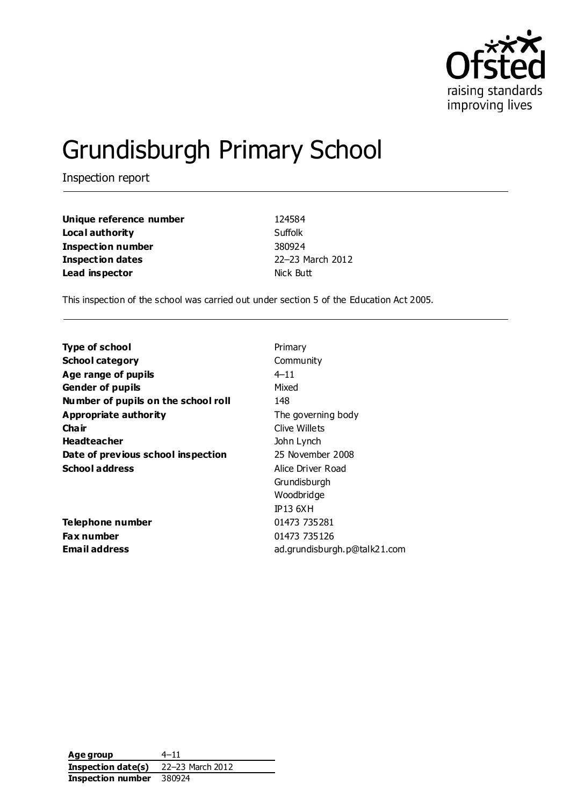

# Grundisburgh Primary School

Inspection report

| Unique reference number  | 124584           |
|--------------------------|------------------|
| Local authority          | Suffolk          |
| <b>Inspection number</b> | 380924           |
| Inspection dates         | 22-23 March 2012 |
| Lead inspector           | Nick Butt        |

This inspection of the school was carried out under section 5 of the Education Act 2005.

| <b>Type of school</b>               | Primary                      |
|-------------------------------------|------------------------------|
| <b>School category</b>              | Community                    |
| Age range of pupils                 | $4 - 11$                     |
| <b>Gender of pupils</b>             | Mixed                        |
| Number of pupils on the school roll | 148                          |
| Appropriate authority               | The governing body           |
| Cha ir                              | Clive Willets                |
| <b>Headteacher</b>                  | John Lynch                   |
| Date of previous school inspection  | 25 November 2008             |
| <b>School address</b>               | Alice Driver Road            |
|                                     | Grundisburgh                 |
|                                     | Woodbridge                   |
|                                     | <b>IP13 6XH</b>              |
| Telephone number                    | 01473 735281                 |
| <b>Fax number</b>                   | 01473 735126                 |
| Email address                       | ad.grundisburgh.p@talk21.com |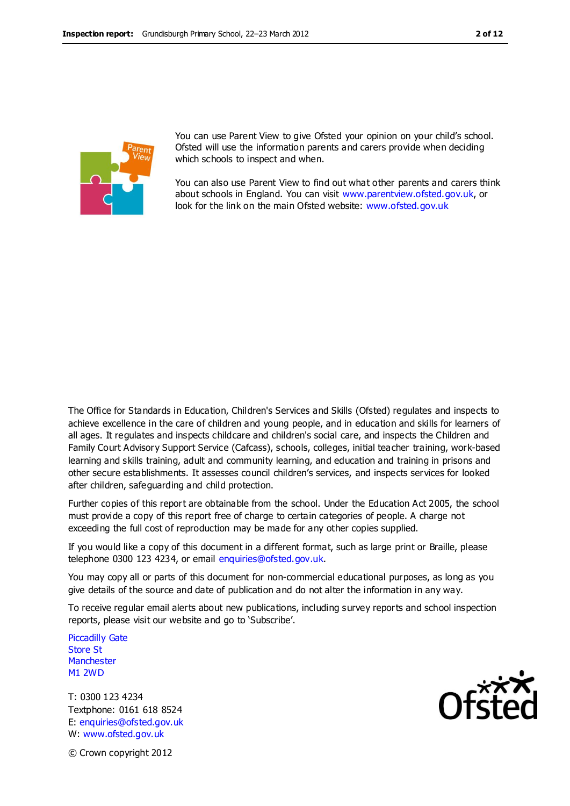

You can use Parent View to give Ofsted your opinion on your child's school. Ofsted will use the information parents and carers provide when deciding which schools to inspect and when.

You can also use Parent View to find out what other parents and carers think about schools in England. You can visit [www.parentview.ofsted.gov.uk,](http://www.parentview.ofsted.gov.uk/) or look for the link on the main Ofsted website: [www.ofsted.gov.uk](http://www.ofsted.gov.uk/)

The Office for Standards in Education, Children's Services and Skills (Ofsted) regulates and inspects to achieve excellence in the care of children and young people, and in education and skills for learners of all ages. It regulates and inspects childcare and children's social care, and inspects the Children and Family Court Advisory Support Service (Cafcass), schools, colleges, initial teacher training, work-based learning and skills training, adult and community learning, and education and training in prisons and other secure establishments. It assesses council children's services, and inspects services for looked after children, safeguarding and child protection.

Further copies of this report are obtainable from the school. Under the Education Act 2005, the school must provide a copy of this report free of charge to certain categories of people. A charge not exceeding the full cost of reproduction may be made for any other copies supplied.

If you would like a copy of this document in a different format, such as large print or Braille, please telephone 0300 123 4234, or email enquiries@ofsted.gov.uk.

You may copy all or parts of this document for non-commercial educational purposes, as long as you give details of the source and date of publication and do not alter the information in any way.

To receive regular email alerts about new publications, including survey reports and school inspection reports, please visit our website and go to 'Subscribe'.

Piccadilly Gate Store St **Manchester** M1 2WD

T: 0300 123 4234 Textphone: 0161 618 8524 E: enquiries@ofsted.gov.uk W: www.ofsted.gov.uk



© Crown copyright 2012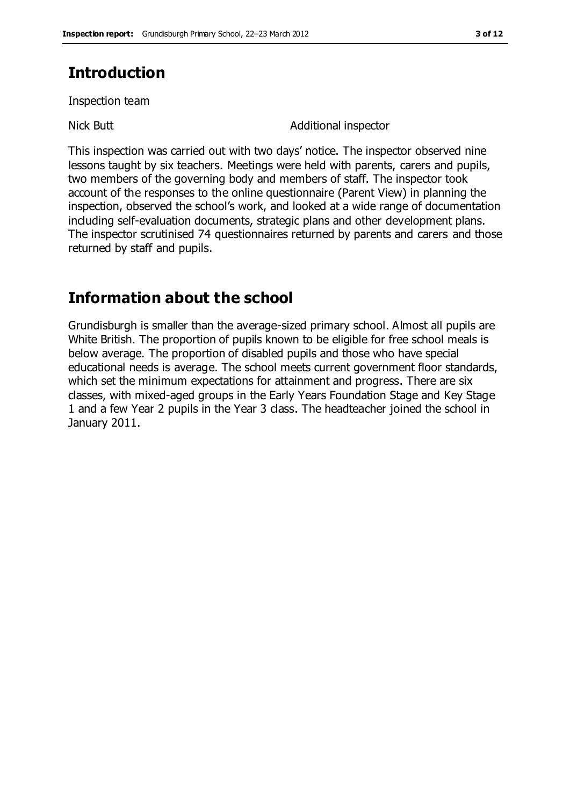# **Introduction**

Inspection team

Nick Butt **Additional inspector** 

This inspection was carried out with two days' notice. The inspector observed nine lessons taught by six teachers. Meetings were held with parents, carers and pupils, two members of the governing body and members of staff. The inspector took account of the responses to the online questionnaire (Parent View) in planning the inspection, observed the school's work, and looked at a wide range of documentation including self-evaluation documents, strategic plans and other development plans. The inspector scrutinised 74 questionnaires returned by parents and carers and those returned by staff and pupils.

# **Information about the school**

Grundisburgh is smaller than the average-sized primary school. Almost all pupils are White British. The proportion of pupils known to be eligible for free school meals is below average. The proportion of disabled pupils and those who have special educational needs is average. The school meets current government floor standards, which set the minimum expectations for attainment and progress. There are six classes, with mixed-aged groups in the Early Years Foundation Stage and Key Stage 1 and a few Year 2 pupils in the Year 3 class. The headteacher joined the school in January 2011.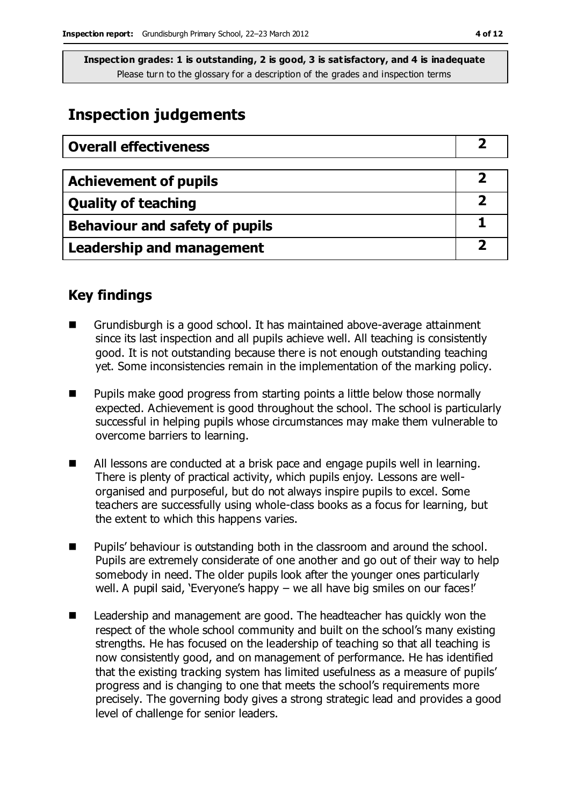## **Inspection judgements**

| <b>Overall effectiveness</b>     |  |
|----------------------------------|--|
|                                  |  |
| <b>Achievement of pupils</b>     |  |
| <b>Quality of teaching</b>       |  |
| Behaviour and safety of pupils   |  |
| <b>Leadership and management</b> |  |

## **Key findings**

- Grundisburgh is a good school. It has maintained above-average attainment since its last inspection and all pupils achieve well. All teaching is consistently good. It is not outstanding because there is not enough outstanding teaching yet. Some inconsistencies remain in the implementation of the marking policy.
- **Pupils make good progress from starting points a little below those normally** expected. Achievement is good throughout the school. The school is particularly successful in helping pupils whose circumstances may make them vulnerable to overcome barriers to learning.
- All lessons are conducted at a brisk pace and engage pupils well in learning. There is plenty of practical activity, which pupils enjoy. Lessons are wellorganised and purposeful, but do not always inspire pupils to excel. Some teachers are successfully using whole-class books as a focus for learning, but the extent to which this happens varies.
- Pupils' behaviour is outstanding both in the classroom and around the school. Pupils are extremely considerate of one another and go out of their way to help somebody in need. The older pupils look after the younger ones particularly well. A pupil said, 'Everyone's happy – we all have big smiles on our faces!'
- Leadership and management are good. The headteacher has quickly won the respect of the whole school community and built on the school's many existing strengths. He has focused on the leadership of teaching so that all teaching is now consistently good, and on management of performance. He has identified that the existing tracking system has limited usefulness as a measure of pupils' progress and is changing to one that meets the school's requirements more precisely. The governing body gives a strong strategic lead and provides a good level of challenge for senior leaders.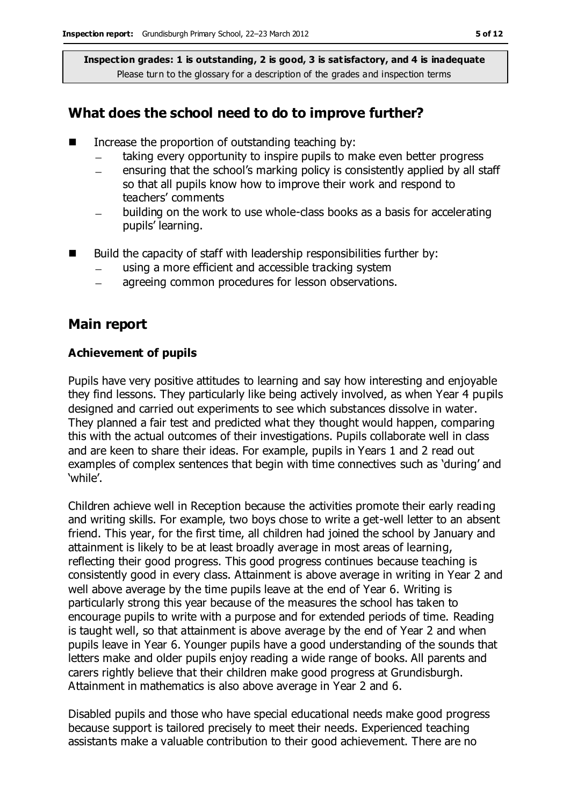## **What does the school need to do to improve further?**

- $\blacksquare$  Increase the proportion of outstanding teaching by:
	- taking every opportunity to inspire pupils to make even better progress
	- ensuring that the school's marking policy is consistently applied by all staff  $\frac{1}{1}$ so that all pupils know how to improve their work and respond to teachers' comments
	- building on the work to use whole-class books as a basis for accelerating pupils' learning.
- $\blacksquare$  Build the capacity of staff with leadership responsibilities further by:
	- using a more efficient and accessible tracking system
	- agreeing common procedures for lesson observations.

## **Main report**

#### **Achievement of pupils**

Pupils have very positive attitudes to learning and say how interesting and enjoyable they find lessons. They particularly like being actively involved, as when Year 4 pupils designed and carried out experiments to see which substances dissolve in water. They planned a fair test and predicted what they thought would happen, comparing this with the actual outcomes of their investigations. Pupils collaborate well in class and are keen to share their ideas. For example, pupils in Years 1 and 2 read out examples of complex sentences that begin with time connectives such as 'during' and 'while'.

Children achieve well in Reception because the activities promote their early reading and writing skills. For example, two boys chose to write a get-well letter to an absent friend. This year, for the first time, all children had joined the school by January and attainment is likely to be at least broadly average in most areas of learning, reflecting their good progress. This good progress continues because teaching is consistently good in every class. Attainment is above average in writing in Year 2 and well above average by the time pupils leave at the end of Year 6. Writing is particularly strong this year because of the measures the school has taken to encourage pupils to write with a purpose and for extended periods of time. Reading is taught well, so that attainment is above average by the end of Year 2 and when pupils leave in Year 6. Younger pupils have a good understanding of the sounds that letters make and older pupils enjoy reading a wide range of books. All parents and carers rightly believe that their children make good progress at Grundisburgh. Attainment in mathematics is also above average in Year 2 and 6.

Disabled pupils and those who have special educational needs make good progress because support is tailored precisely to meet their needs. Experienced teaching assistants make a valuable contribution to their good achievement. There are no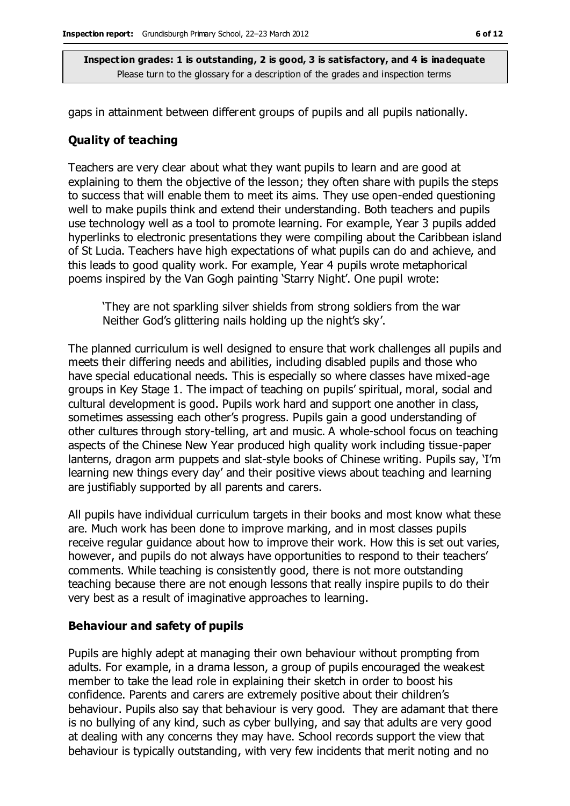gaps in attainment between different groups of pupils and all pupils nationally.

#### **Quality of teaching**

Teachers are very clear about what they want pupils to learn and are good at explaining to them the objective of the lesson; they often share with pupils the steps to success that will enable them to meet its aims. They use open-ended questioning well to make pupils think and extend their understanding. Both teachers and pupils use technology well as a tool to promote learning. For example, Year 3 pupils added hyperlinks to electronic presentations they were compiling about the Caribbean island of St Lucia. Teachers have high expectations of what pupils can do and achieve, and this leads to good quality work. For example, Year 4 pupils wrote metaphorical poems inspired by the Van Gogh painting 'Starry Night'. One pupil wrote:

'They are not sparkling silver shields from strong soldiers from the war Neither God's glittering nails holding up the night's sky'.

The planned curriculum is well designed to ensure that work challenges all pupils and meets their differing needs and abilities, including disabled pupils and those who have special educational needs. This is especially so where classes have mixed-age groups in Key Stage 1. The impact of teaching on pupils' spiritual, moral, social and cultural development is good. Pupils work hard and support one another in class, sometimes assessing each other's progress. Pupils gain a good understanding of other cultures through story-telling, art and music. A whole-school focus on teaching aspects of the Chinese New Year produced high quality work including tissue-paper lanterns, dragon arm puppets and slat-style books of Chinese writing. Pupils say, 'I'm learning new things every day' and their positive views about teaching and learning are justifiably supported by all parents and carers.

All pupils have individual curriculum targets in their books and most know what these are. Much work has been done to improve marking, and in most classes pupils receive regular guidance about how to improve their work. How this is set out varies, however, and pupils do not always have opportunities to respond to their teachers' comments. While teaching is consistently good, there is not more outstanding teaching because there are not enough lessons that really inspire pupils to do their very best as a result of imaginative approaches to learning.

#### **Behaviour and safety of pupils**

Pupils are highly adept at managing their own behaviour without prompting from adults. For example, in a drama lesson, a group of pupils encouraged the weakest member to take the lead role in explaining their sketch in order to boost his confidence. Parents and carers are extremely positive about their children's behaviour. Pupils also say that behaviour is very good. They are adamant that there is no bullying of any kind, such as cyber bullying, and say that adults are very good at dealing with any concerns they may have. School records support the view that behaviour is typically outstanding, with very few incidents that merit noting and no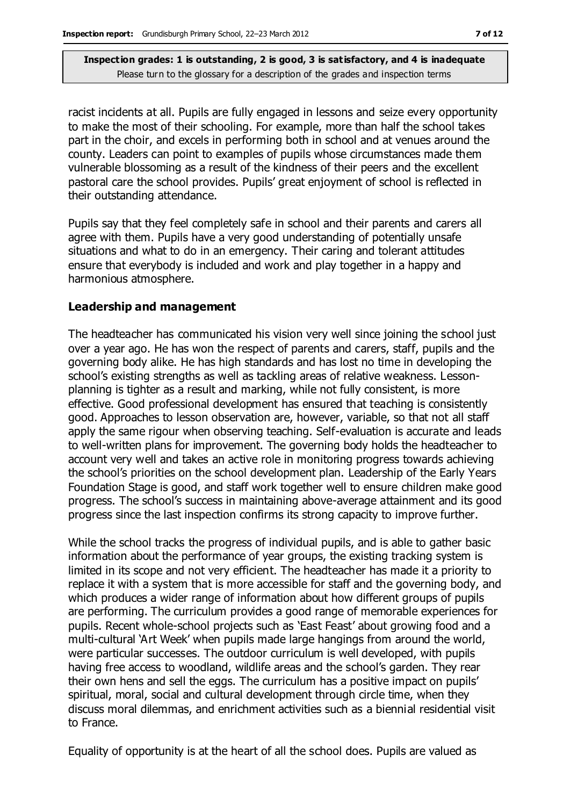racist incidents at all. Pupils are fully engaged in lessons and seize every opportunity to make the most of their schooling. For example, more than half the school takes part in the choir, and excels in performing both in school and at venues around the county. Leaders can point to examples of pupils whose circumstances made them vulnerable blossoming as a result of the kindness of their peers and the excellent pastoral care the school provides. Pupils' great enjoyment of school is reflected in their outstanding attendance.

Pupils say that they feel completely safe in school and their parents and carers all agree with them. Pupils have a very good understanding of potentially unsafe situations and what to do in an emergency. Their caring and tolerant attitudes ensure that everybody is included and work and play together in a happy and harmonious atmosphere.

#### **Leadership and management**

The headteacher has communicated his vision very well since joining the school just over a year ago. He has won the respect of parents and carers, staff, pupils and the governing body alike. He has high standards and has lost no time in developing the school's existing strengths as well as tackling areas of relative weakness. Lessonplanning is tighter as a result and marking, while not fully consistent, is more effective. Good professional development has ensured that teaching is consistently good. Approaches to lesson observation are, however, variable, so that not all staff apply the same rigour when observing teaching. Self-evaluation is accurate and leads to well-written plans for improvement. The governing body holds the headteacher to account very well and takes an active role in monitoring progress towards achieving the school's priorities on the school development plan. Leadership of the Early Years Foundation Stage is good, and staff work together well to ensure children make good progress. The school's success in maintaining above-average attainment and its good progress since the last inspection confirms its strong capacity to improve further.

While the school tracks the progress of individual pupils, and is able to gather basic information about the performance of year groups, the existing tracking system is limited in its scope and not very efficient. The headteacher has made it a priority to replace it with a system that is more accessible for staff and the governing body, and which produces a wider range of information about how different groups of pupils are performing. The curriculum provides a good range of memorable experiences for pupils. Recent whole-school projects such as 'East Feast' about growing food and a multi-cultural 'Art Week' when pupils made large hangings from around the world, were particular successes. The outdoor curriculum is well developed, with pupils having free access to woodland, wildlife areas and the school's garden. They rear their own hens and sell the eggs. The curriculum has a positive impact on pupils' spiritual, moral, social and cultural development through circle time, when they discuss moral dilemmas, and enrichment activities such as a biennial residential visit to France.

Equality of opportunity is at the heart of all the school does. Pupils are valued as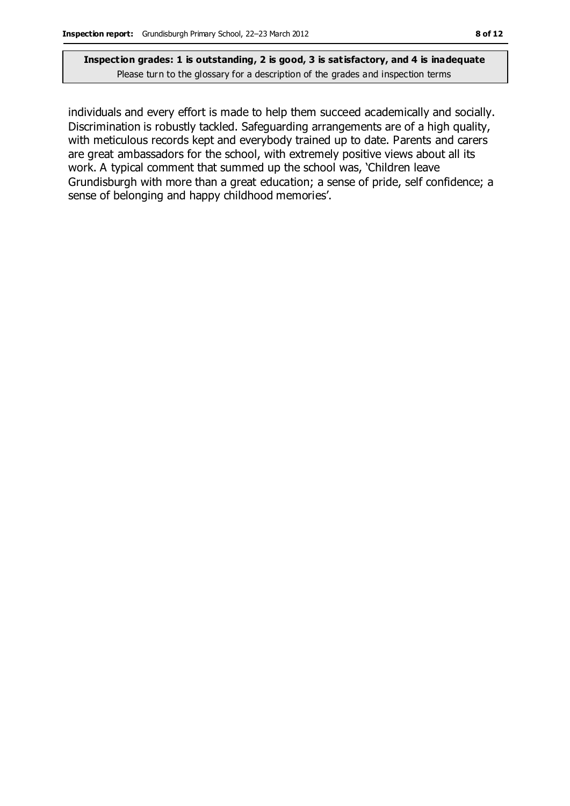individuals and every effort is made to help them succeed academically and socially. Discrimination is robustly tackled. Safeguarding arrangements are of a high quality, with meticulous records kept and everybody trained up to date. Parents and carers are great ambassadors for the school, with extremely positive views about all its work. A typical comment that summed up the school was, 'Children leave Grundisburgh with more than a great education; a sense of pride, self confidence; a sense of belonging and happy childhood memories'.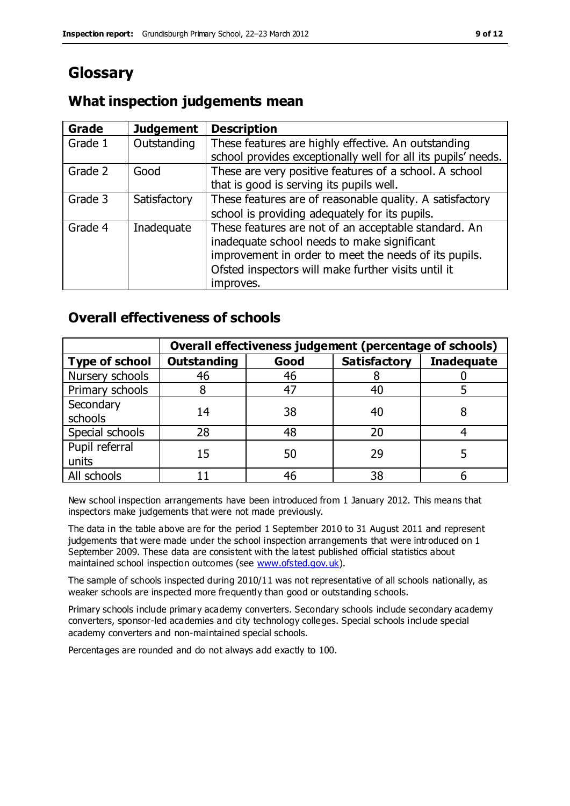# **Glossary**

## **What inspection judgements mean**

| Grade   | <b>Judgement</b> | <b>Description</b>                                                                                                                                                                                                               |
|---------|------------------|----------------------------------------------------------------------------------------------------------------------------------------------------------------------------------------------------------------------------------|
| Grade 1 | Outstanding      | These features are highly effective. An outstanding<br>school provides exceptionally well for all its pupils' needs.                                                                                                             |
| Grade 2 | Good             | These are very positive features of a school. A school<br>that is good is serving its pupils well.                                                                                                                               |
| Grade 3 | Satisfactory     | These features are of reasonable quality. A satisfactory<br>school is providing adequately for its pupils.                                                                                                                       |
| Grade 4 | Inadequate       | These features are not of an acceptable standard. An<br>inadequate school needs to make significant<br>improvement in order to meet the needs of its pupils.<br>Ofsted inspectors will make further visits until it<br>improves. |

### **Overall effectiveness of schools**

|                         | Overall effectiveness judgement (percentage of schools) |      |                     |                   |
|-------------------------|---------------------------------------------------------|------|---------------------|-------------------|
| <b>Type of school</b>   | <b>Outstanding</b>                                      | Good | <b>Satisfactory</b> | <b>Inadequate</b> |
| Nursery schools         | 46                                                      | 46   |                     |                   |
| Primary schools         |                                                         | 47   | 40                  |                   |
| Secondary<br>schools    | 14                                                      | 38   | 40                  |                   |
| Special schools         | 28                                                      | 48   | 20                  |                   |
| Pupil referral<br>units | 15                                                      | 50   | 29                  |                   |
| All schools             |                                                         | 46   | 38                  |                   |

New school inspection arrangements have been introduced from 1 January 2012. This means that inspectors make judgements that were not made previously.

The data in the table above are for the period 1 September 2010 to 31 August 2011 and represent judgements that were made under the school inspection arrangements that were introduced on 1 September 2009. These data are consistent with the latest published official statistics about maintained school inspection outcomes (see [www.ofsted.gov.uk\)](http://www.ofsted.gov.uk/).

The sample of schools inspected during 2010/11 was not representative of all schools nationally, as weaker schools are inspected more frequently than good or outstanding schools.

Primary schools include primary academy converters. Secondary schools include secondary academy converters, sponsor-led academies and city technology colleges. Special schools include special academy converters and non-maintained special schools.

Percentages are rounded and do not always add exactly to 100.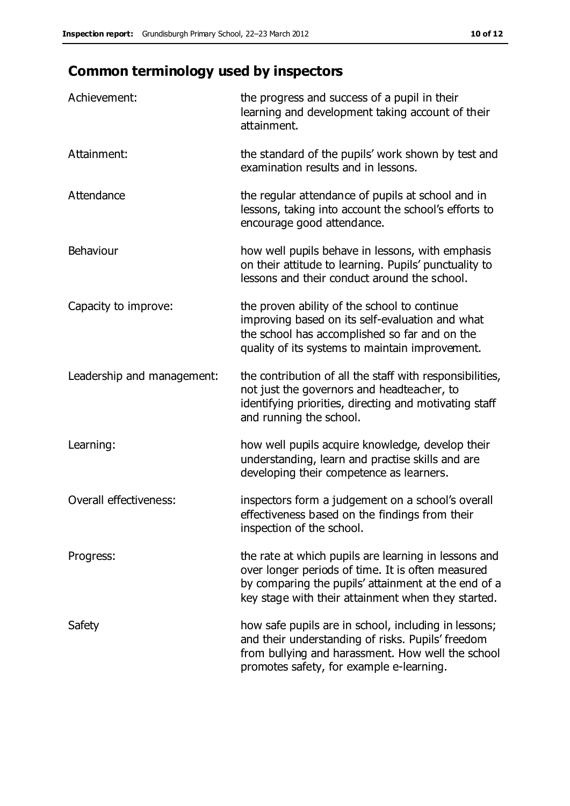# **Common terminology used by inspectors**

| Achievement:                  | the progress and success of a pupil in their<br>learning and development taking account of their<br>attainment.                                                                                                        |
|-------------------------------|------------------------------------------------------------------------------------------------------------------------------------------------------------------------------------------------------------------------|
| Attainment:                   | the standard of the pupils' work shown by test and<br>examination results and in lessons.                                                                                                                              |
| Attendance                    | the regular attendance of pupils at school and in<br>lessons, taking into account the school's efforts to<br>encourage good attendance.                                                                                |
| Behaviour                     | how well pupils behave in lessons, with emphasis<br>on their attitude to learning. Pupils' punctuality to<br>lessons and their conduct around the school.                                                              |
| Capacity to improve:          | the proven ability of the school to continue<br>improving based on its self-evaluation and what<br>the school has accomplished so far and on the<br>quality of its systems to maintain improvement.                    |
| Leadership and management:    | the contribution of all the staff with responsibilities,<br>not just the governors and headteacher, to<br>identifying priorities, directing and motivating staff<br>and running the school.                            |
| Learning:                     | how well pupils acquire knowledge, develop their<br>understanding, learn and practise skills and are<br>developing their competence as learners.                                                                       |
| <b>Overall effectiveness:</b> | inspectors form a judgement on a school's overall<br>effectiveness based on the findings from their<br>inspection of the school.                                                                                       |
| Progress:                     | the rate at which pupils are learning in lessons and<br>over longer periods of time. It is often measured<br>by comparing the pupils' attainment at the end of a<br>key stage with their attainment when they started. |
| Safety                        | how safe pupils are in school, including in lessons;<br>and their understanding of risks. Pupils' freedom<br>from bullying and harassment. How well the school<br>promotes safety, for example e-learning.             |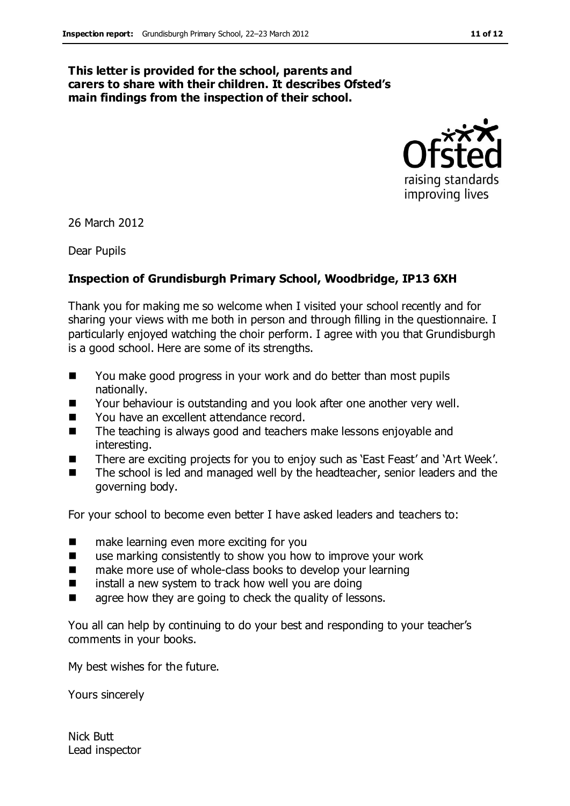#### **This letter is provided for the school, parents and carers to share with their children. It describes Ofsted's main findings from the inspection of their school.**



26 March 2012

Dear Pupils

#### **Inspection of Grundisburgh Primary School, Woodbridge, IP13 6XH**

Thank you for making me so welcome when I visited your school recently and for sharing your views with me both in person and through filling in the questionnaire. I particularly enjoyed watching the choir perform. I agree with you that Grundisburgh is a good school. Here are some of its strengths.

- You make good progress in your work and do better than most pupils nationally.
- Your behaviour is outstanding and you look after one another very well.
- You have an excellent attendance record.
- The teaching is always good and teachers make lessons enjoyable and interesting.
- There are exciting projects for you to enjoy such as 'East Feast' and 'Art Week'.
- The school is led and managed well by the headteacher, senior leaders and the governing body.

For your school to become even better I have asked leaders and teachers to:

- make learning even more exciting for you
- use marking consistently to show you how to improve your work
- make more use of whole-class books to develop your learning
- $\blacksquare$  install a new system to track how well you are doing
- **EXECUTE:** agree how they are going to check the quality of lessons.

You all can help by continuing to do your best and responding to your teacher's comments in your books.

My best wishes for the future.

Yours sincerely

Nick Butt Lead inspector